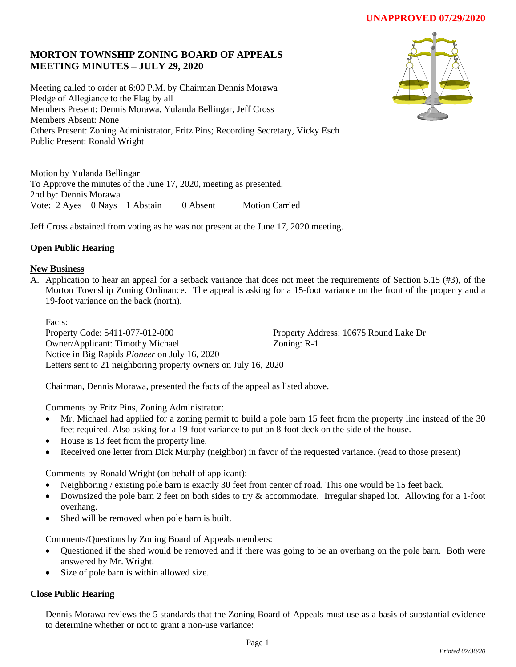# **UNAPPROVED 07/29/2020**

## **MORTON TOWNSHIP ZONING BOARD OF APPEALS MEETING MINUTES – JULY 29, 2020**

Meeting called to order at 6:00 P.M. by Chairman Dennis Morawa Pledge of Allegiance to the Flag by all Members Present: Dennis Morawa, Yulanda Bellingar, Jeff Cross Members Absent: None Others Present: Zoning Administrator, Fritz Pins; Recording Secretary, Vicky Esch Public Present: Ronald Wright

Motion by Yulanda Bellingar To Approve the minutes of the June 17, 2020, meeting as presented. 2nd by: Dennis Morawa Vote: 2 Ayes 0 Nays 1 Abstain 0 Absent Motion Carried

Jeff Cross abstained from voting as he was not present at the June 17, 2020 meeting.

## **Open Public Hearing**

### **New Business**

A. Application to hear an appeal for a setback variance that does not meet the requirements of Section 5.15 (#3), of the Morton Township Zoning Ordinance. The appeal is asking for a 15-foot variance on the front of the property and a 19-foot variance on the back (north).

Facts:

Property Code: 5411-077-012-000 Property Address: 10675 Round Lake Dr Owner/Applicant: Timothy Michael Zoning: R-1 Notice in Big Rapids *Pioneer* on July 16, 2020 Letters sent to 21 neighboring property owners on July 16, 2020

Chairman, Dennis Morawa, presented the facts of the appeal as listed above.

Comments by Fritz Pins, Zoning Administrator:

- Mr. Michael had applied for a zoning permit to build a pole barn 15 feet from the property line instead of the 30 feet required. Also asking for a 19-foot variance to put an 8-foot deck on the side of the house.
- House is 13 feet from the property line.
- Received one letter from Dick Murphy (neighbor) in favor of the requested variance. (read to those present)

Comments by Ronald Wright (on behalf of applicant):

- Neighboring / existing pole barn is exactly 30 feet from center of road. This one would be 15 feet back.
- Downsized the pole barn 2 feet on both sides to try & accommodate. Irregular shaped lot. Allowing for a 1-foot overhang.
- Shed will be removed when pole barn is built.

Comments/Questions by Zoning Board of Appeals members:

- Questioned if the shed would be removed and if there was going to be an overhang on the pole barn. Both were answered by Mr. Wright.
- Size of pole barn is within allowed size.

### **Close Public Hearing**

Dennis Morawa reviews the 5 standards that the Zoning Board of Appeals must use as a basis of substantial evidence to determine whether or not to grant a non-use variance: